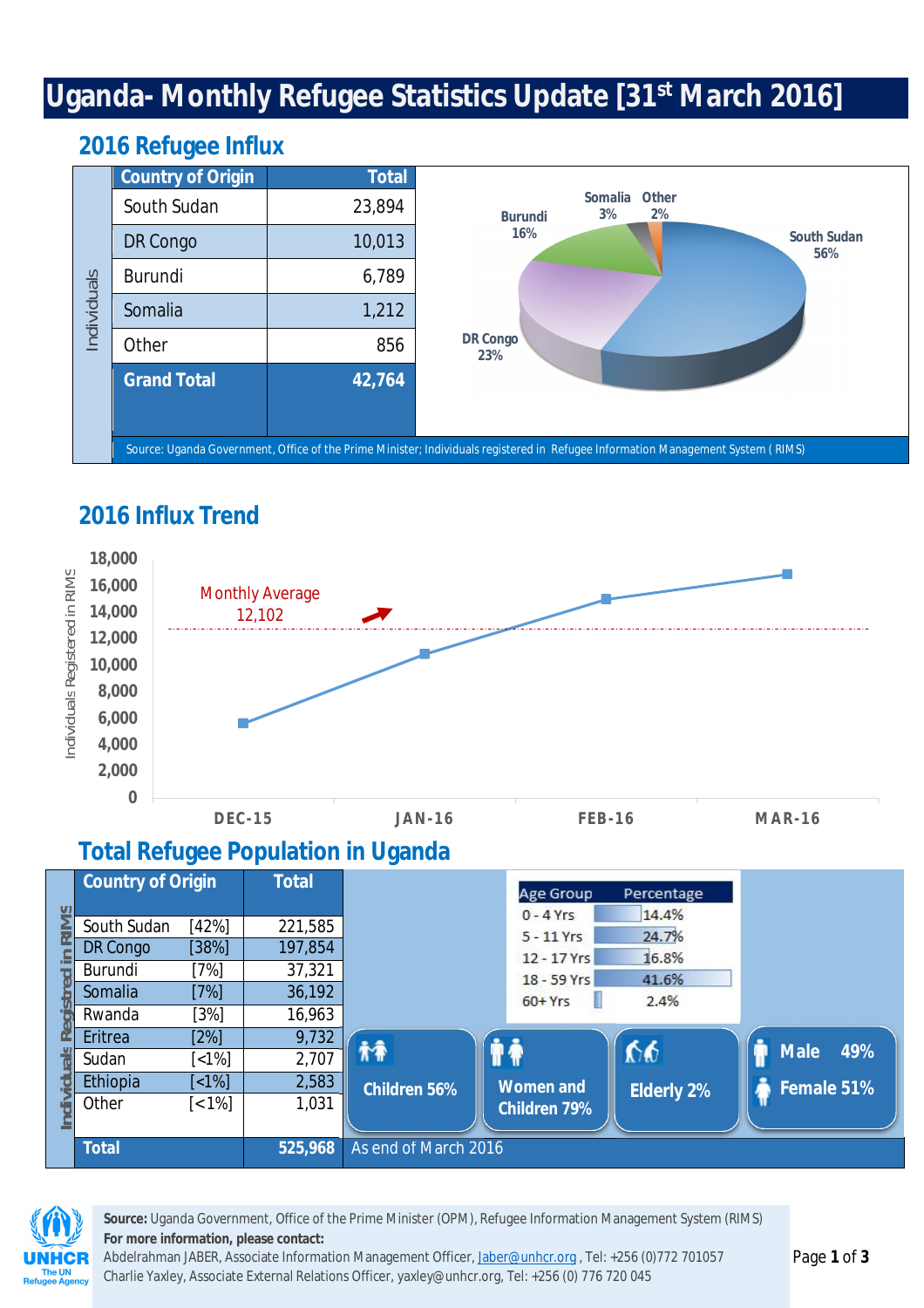# **Uganda- Monthly Refugee Statistics Update [31st March 2016]**

|             | w                        |              |                                                                                                                                 |  |  |  |  |  |  |  |  |
|-------------|--------------------------|--------------|---------------------------------------------------------------------------------------------------------------------------------|--|--|--|--|--|--|--|--|
|             | <b>Country of Origin</b> | <b>Total</b> |                                                                                                                                 |  |  |  |  |  |  |  |  |
| Individuals | South Sudan              | 23,894       | Other<br><b>Somalia</b><br>3%<br>2%<br><b>Burundi</b>                                                                           |  |  |  |  |  |  |  |  |
|             | DR Congo                 | 10,013       | 16%<br><b>South Sudan</b><br>56%                                                                                                |  |  |  |  |  |  |  |  |
|             | <b>Burundi</b>           | 6,789        |                                                                                                                                 |  |  |  |  |  |  |  |  |
|             | Somalia                  | 1,212        |                                                                                                                                 |  |  |  |  |  |  |  |  |
|             | Other                    | 856          | <b>DR Congo</b><br>23%                                                                                                          |  |  |  |  |  |  |  |  |
|             | <b>Grand Total</b>       | 42,764       |                                                                                                                                 |  |  |  |  |  |  |  |  |
|             |                          |              |                                                                                                                                 |  |  |  |  |  |  |  |  |
|             |                          |              | Source: Uganda Government, Office of the Prime Minister; Individuals registered in Refugee Information Management System (RIMS) |  |  |  |  |  |  |  |  |

#### **2016 Refugee Influx**

# **2016 Influx Trend**



#### **Total Refugee Population in Uganda**

|                                                                                                                                 |                          | <b>Burundi</b>  |                          |                        | 6,789                                     |  |                             |                   |                    |  |  |  |  |  |  |
|---------------------------------------------------------------------------------------------------------------------------------|--------------------------|-----------------|--------------------------|------------------------|-------------------------------------------|--|-----------------------------|-------------------|--------------------|--|--|--|--|--|--|
|                                                                                                                                 | Individuals              | Somalia         |                          |                        | 1,212                                     |  |                             |                   |                    |  |  |  |  |  |  |
|                                                                                                                                 |                          | Other           |                          |                        | <b>DR Congo</b><br>856<br>23%             |  |                             |                   |                    |  |  |  |  |  |  |
|                                                                                                                                 |                          |                 | <b>Grand Total</b>       |                        | 42,764                                    |  |                             |                   |                    |  |  |  |  |  |  |
|                                                                                                                                 |                          |                 |                          |                        |                                           |  |                             |                   |                    |  |  |  |  |  |  |
|                                                                                                                                 |                          |                 |                          |                        |                                           |  |                             |                   |                    |  |  |  |  |  |  |
| Source: Uganda Government, Office of the Prime Minister; Individuals registered in Refugee Information Management System (RIMS) |                          |                 |                          |                        |                                           |  |                             |                   |                    |  |  |  |  |  |  |
|                                                                                                                                 |                          |                 |                          |                        |                                           |  |                             |                   |                    |  |  |  |  |  |  |
|                                                                                                                                 | <b>2016 Influx Trend</b> |                 |                          |                        |                                           |  |                             |                   |                    |  |  |  |  |  |  |
|                                                                                                                                 | 18,000                   |                 |                          |                        |                                           |  |                             |                   |                    |  |  |  |  |  |  |
| Individuals Registered in RIMS                                                                                                  |                          | 16,000          |                          | <b>Monthly Average</b> |                                           |  |                             |                   |                    |  |  |  |  |  |  |
|                                                                                                                                 |                          | 14,000          |                          | 12,102                 |                                           |  |                             |                   |                    |  |  |  |  |  |  |
|                                                                                                                                 |                          | 12,000          |                          |                        |                                           |  |                             |                   |                    |  |  |  |  |  |  |
|                                                                                                                                 |                          | 10,000          |                          |                        |                                           |  |                             |                   |                    |  |  |  |  |  |  |
|                                                                                                                                 |                          | 8,000           |                          |                        |                                           |  |                             |                   |                    |  |  |  |  |  |  |
|                                                                                                                                 |                          | 6,000           |                          |                        |                                           |  |                             |                   |                    |  |  |  |  |  |  |
|                                                                                                                                 |                          | 4,000           |                          |                        |                                           |  |                             |                   |                    |  |  |  |  |  |  |
|                                                                                                                                 |                          |                 |                          |                        |                                           |  |                             |                   |                    |  |  |  |  |  |  |
|                                                                                                                                 |                          | 2,000           |                          |                        |                                           |  |                             |                   |                    |  |  |  |  |  |  |
|                                                                                                                                 |                          | 0               | <b>DEC-15</b>            |                        | <b>JAN-16</b>                             |  | <b>FEB-16</b>               |                   | <b>MAR-16</b>      |  |  |  |  |  |  |
|                                                                                                                                 |                          |                 |                          |                        | <b>Total Refugee Population in Uganda</b> |  |                             |                   |                    |  |  |  |  |  |  |
|                                                                                                                                 |                          |                 | <b>Country of Origin</b> | <b>Total</b>           |                                           |  |                             |                   |                    |  |  |  |  |  |  |
|                                                                                                                                 |                          |                 |                          |                        |                                           |  | <b>Age Group</b>            | Percentage        |                    |  |  |  |  |  |  |
| <b>RIMS</b>                                                                                                                     |                          | South Sudan     | [42%]                    | 221,585                |                                           |  | $0 - 4$ Yrs                 | 14.4%             |                    |  |  |  |  |  |  |
|                                                                                                                                 |                          | <b>DR Congo</b> | [38%]                    | 197,854                |                                           |  | $5 - 11$ Yrs<br>12 - 17 Yrs | 24.7%<br>16.8%    |                    |  |  |  |  |  |  |
|                                                                                                                                 | Burundi                  |                 | $[7\%]$                  | 37,321                 |                                           |  | 18 - 59 Yrs                 | 41.6%             |                    |  |  |  |  |  |  |
|                                                                                                                                 | Somalia                  |                 | [7%]                     | 36,192                 |                                           |  | $60+Yrs$                    | 2.4%              |                    |  |  |  |  |  |  |
|                                                                                                                                 | Rwanda                   |                 | $[3\%]$                  | 16,963                 |                                           |  |                             |                   |                    |  |  |  |  |  |  |
|                                                                                                                                 | Eritrea                  |                 | $[2\%]$                  | 9,732                  | 梓                                         |  | <b><i>∲∳</i></b>            | $\mathbf{v}$      | <b>Male</b><br>49% |  |  |  |  |  |  |
|                                                                                                                                 | Sudan                    |                 | [<1%]                    | 2,707                  |                                           |  |                             |                   |                    |  |  |  |  |  |  |
|                                                                                                                                 | Ethiopia<br>Other        |                 | [<1%]<br>$[< 1\%]$       | 2,583<br>1,031         | <b>Children 56%</b>                       |  | <b>Women and</b>            | <b>Elderly 2%</b> | Female 51%         |  |  |  |  |  |  |
| Individuals Registred                                                                                                           |                          |                 |                          |                        |                                           |  | <b>Children 79%</b>         |                   |                    |  |  |  |  |  |  |
|                                                                                                                                 | <b>Total</b>             |                 |                          | 525,968                | As end of March 2016                      |  |                             |                   |                    |  |  |  |  |  |  |
|                                                                                                                                 |                          |                 |                          |                        |                                           |  |                             |                   |                    |  |  |  |  |  |  |



**Source:** Uganda Government, Office of the Prime Minister (OPM), Refugee Information Management System (RIMS) **For more information, please contact:**

Abdelrahman JABER, Associate Information Management Officer, Jaber@unhcr.org, Tel: +256 (0)772 701057 Charlie Yaxley, Associate External Relations Officer, yaxley@unhcr.org, Tel: +256 (0) 776 720 045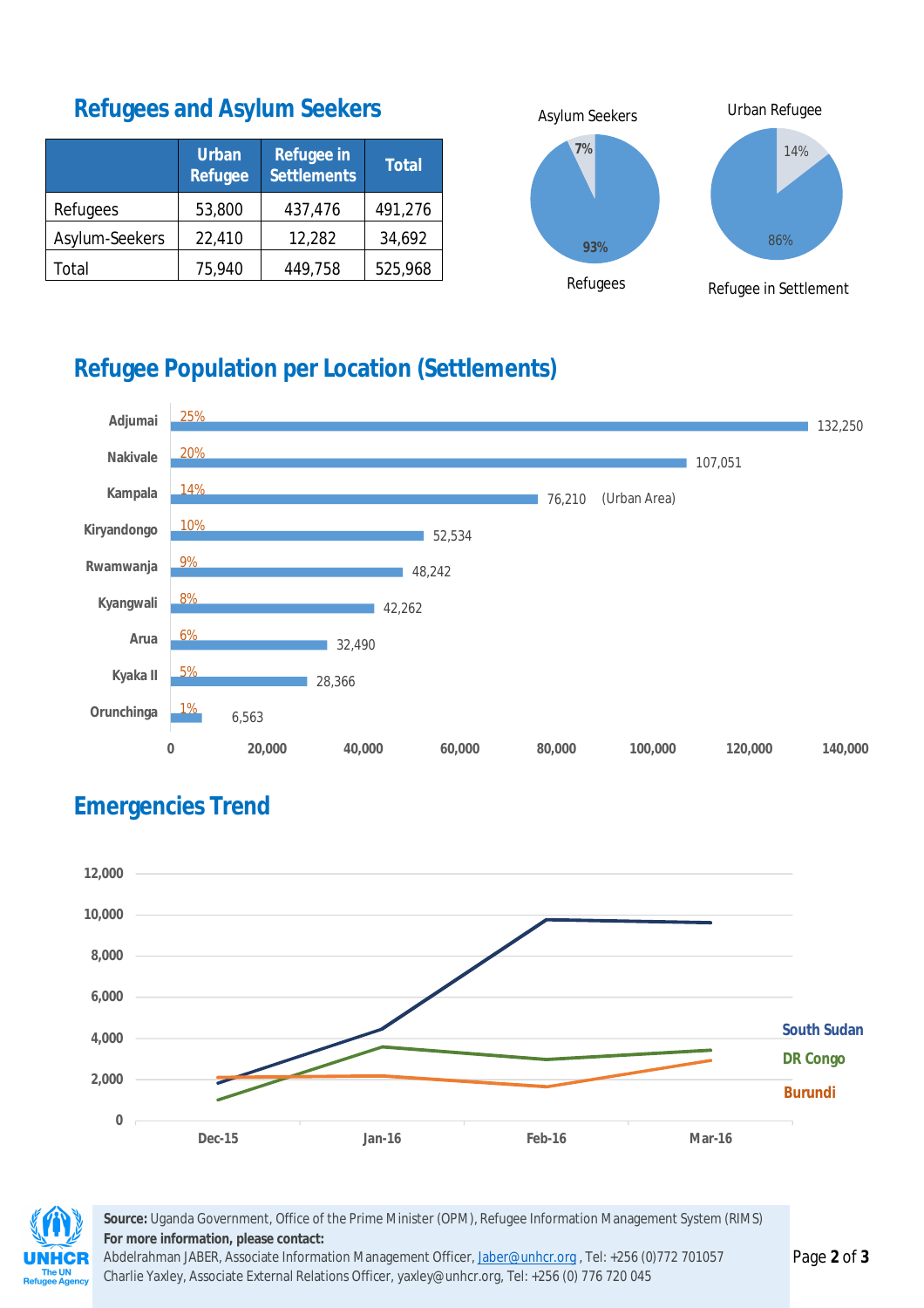#### **Refugees and Asylum Seekers**

|                | <b>Urban</b><br><b>Refugee</b> | <b>Refugee in</b><br><b>Settlements</b> | <b>Total</b> |  |  |
|----------------|--------------------------------|-----------------------------------------|--------------|--|--|
| Refugees       | 53,800                         | 437,476                                 | 491,276      |  |  |
| Asylum-Seekers | 22,410                         | 12,282                                  | 34,692       |  |  |
| Total          | 75,940                         | 449,758                                 | 525,968      |  |  |



# **Refugee Population per Location (Settlements)**



## **Emergencies Trend**





**Source:** Uganda Government, Office of the Prime Minister (OPM), Refugee Information Management System (RIMS) **For more information, please contact:**

Abdelrahman JABER, Associate Information Management Officer, Jaber@unhcr.org, Tel: +256 (0)772 701057 Charlie Yaxley, Associate External Relations Officer, yaxley@unhcr.org, Tel: +256 (0) 776 720 045